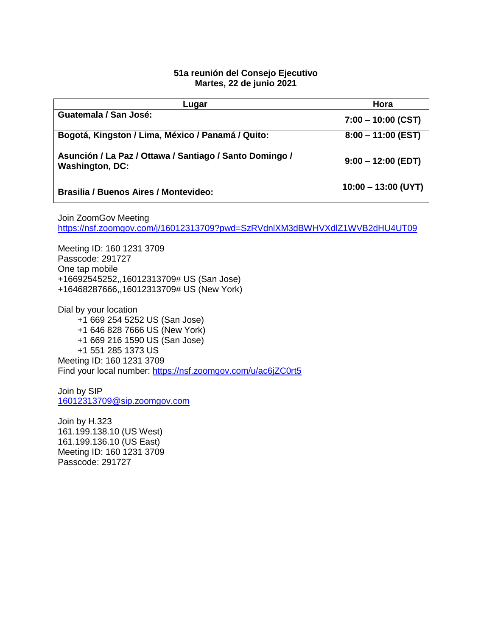## **51a reunión del Consejo Ejecutivo Martes, 22 de junio 2021**

| Lugar                                                                             | Hora                  |
|-----------------------------------------------------------------------------------|-----------------------|
| Guatemala / San José:                                                             | $7:00 - 10:00$ (CST)  |
| Bogotá, Kingston / Lima, México / Panamá / Quito:                                 | $8:00 - 11:00$ (EST)  |
| Asunción / La Paz / Ottawa / Santiago / Santo Domingo /<br><b>Washington, DC:</b> | $9:00 - 12:00$ (EDT)  |
| <b>Brasilia / Buenos Aires / Montevideo:</b>                                      | $10:00 - 13:00$ (UYT) |

Join ZoomGov Meeting <https://nsf.zoomgov.com/j/16012313709?pwd=SzRVdnlXM3dBWHVXdlZ1WVB2dHU4UT09>

Meeting ID: 160 1231 3709 Passcode: 291727 One tap mobile +16692545252,,16012313709# US (San Jose) +16468287666,,16012313709# US (New York)

Dial by your location +1 669 254 5252 US (San Jose) +1 646 828 7666 US (New York) +1 669 216 1590 US (San Jose) +1 551 285 1373 US Meeting ID: 160 1231 3709 Find your local number:<https://nsf.zoomgov.com/u/ac6jZC0rt5>

Join by SIP [16012313709@sip.zoomgov.com](mailto:16012313709@sip.zoomgov.com)

Join by H.323 161.199.138.10 (US West) 161.199.136.10 (US East) Meeting ID: 160 1231 3709 Passcode: 291727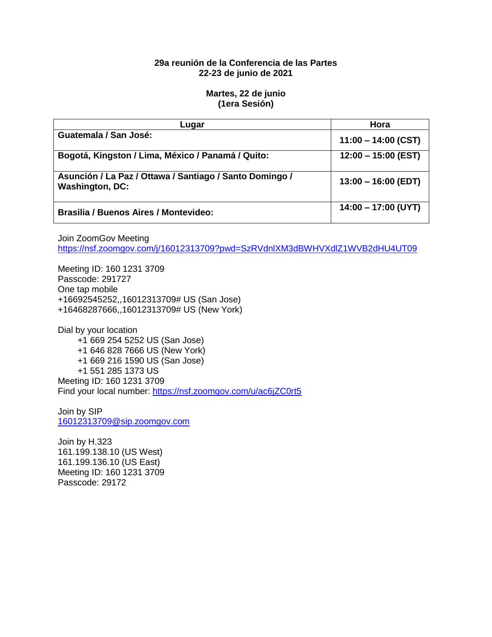# **29a reunión de la Conferencia de las Partes 22-23 de junio de 2021**

#### **Martes, 22 de junio (1era Sesión)**

| Luqar                                                                             | Hora                  |
|-----------------------------------------------------------------------------------|-----------------------|
| Guatemala / San José:                                                             | $11:00 - 14:00$ (CST) |
| Bogotá, Kingston / Lima, México / Panamá / Quito:                                 | $12:00 - 15:00$ (EST) |
| Asunción / La Paz / Ottawa / Santiago / Santo Domingo /<br><b>Washington, DC:</b> | $13:00 - 16:00$ (EDT) |
| <b>Brasilia / Buenos Aires / Montevideo:</b>                                      | $14:00 - 17:00$ (UYT) |

Join ZoomGov Meeting

<https://nsf.zoomgov.com/j/16012313709?pwd=SzRVdnlXM3dBWHVXdlZ1WVB2dHU4UT09>

Meeting ID: 160 1231 3709 Passcode: 291727 One tap mobile +16692545252,,16012313709# US (San Jose) +16468287666,,16012313709# US (New York)

Dial by your location +1 669 254 5252 US (San Jose) +1 646 828 7666 US (New York) +1 669 216 1590 US (San Jose) +1 551 285 1373 US Meeting ID: 160 1231 3709 Find your local number:<https://nsf.zoomgov.com/u/ac6jZC0rt5>

Join by SIP [16012313709@sip.zoomgov.com](mailto:16012313709@sip.zoomgov.com)

Join by H.323 161.199.138.10 (US West) 161.199.136.10 (US East) Meeting ID: 160 1231 3709 Passcode: 29172